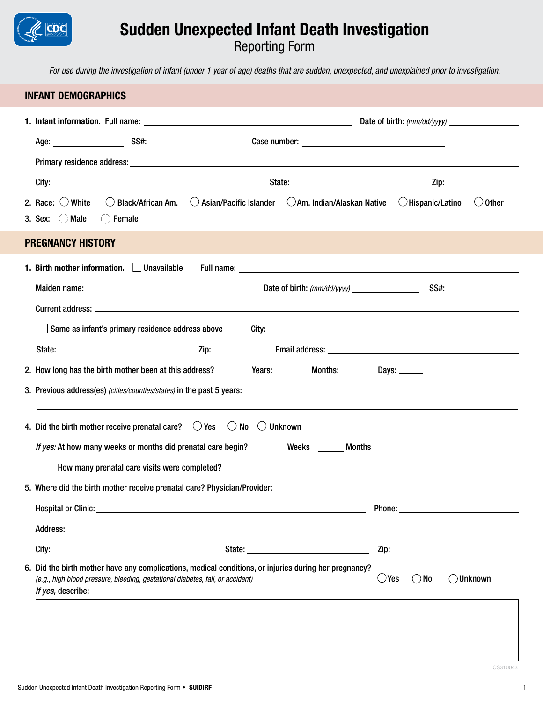# Sudden Unexpected Infant Death Investigation

Reporting Form

*For use during the investigation of infant (under 1 year of age) deaths that are sudden, unexpected, and unexplained prior to investigation.*

# INFANT DEMOGRAPHICS 1. Infant information. Full name: Date of birth: *(mm/dd/yyyy)* Age: SS#: SS#: Case number: Primary residence address: City: State: Zip: 2. Race:  $\bigcirc$  White  $\bigcirc$  Black/African Am.  $\bigcirc$  Asian/Pacific Islander  $\bigcirc$  Am. Indian/Alaskan Native  $\bigcirc$  Hispanic/Latino  $\bigcirc$  Other 3. Sex:  $\bigcirc$  Male  $\bigcirc$  Female PREGNANCY HISTORY 1. Birth mother information.  $\Box$  Unavailable Full name: Maiden name: Date of birth: *(mm/dd/yyyy)* SS#: Current address: \_\_\_\_\_\_\_\_\_\_ Same as infant's primary residence address above City: State: Zip: Email address: 2. How long has the birth mother been at this address? Years: Months: Days: Days: 3. Previous address(es) *(cities/counties/states)* in the past 5 years: 4. Did the birth mother receive prenatal care?  $\bigcirc$  Yes  $\bigcirc$  No  $\bigcirc$  Unknown *If yes:* At how many weeks or months did prenatal care begin? Weeks Months How many prenatal care visits were completed? 5. Where did the birth mother receive prenatal care? Physician/Provider: Hospital or Clinic: United States and States and States and States and States and States and States and States and States and States and States and States and States and States and States and States and States and States a Address: **Address: Address: Address: Address: Address: Address: Address: Address: Address: Address: Address: Address: Address: Address: Address: Address: Address: Address: Address: Add** City: 2ip: 6. Did the birth mother have any complications, medical conditions, or injuries during her pregnancy? *(e.g., high blood pressure, bleeding, gestational diabetes, fall, or accident)*  $\bigcirc$   $\vee$   $\circ$   $\bigcirc$   $\vee$   $\circ$   $\bigcirc$   $\bigcirc$   $\bigcirc$   $\bigcirc$   $\bigcirc$   $\bigcirc$   $\bigcirc$   $\bigcirc$   $\bigcirc$   $\bigcirc$   $\bigcirc$   $\bigcirc$   $\bigcirc$   $\bigcirc$   $\bigcirc$   $\bigcirc$   $\bigcirc$   $\bigcirc$ *If yes,* describe:

CS310043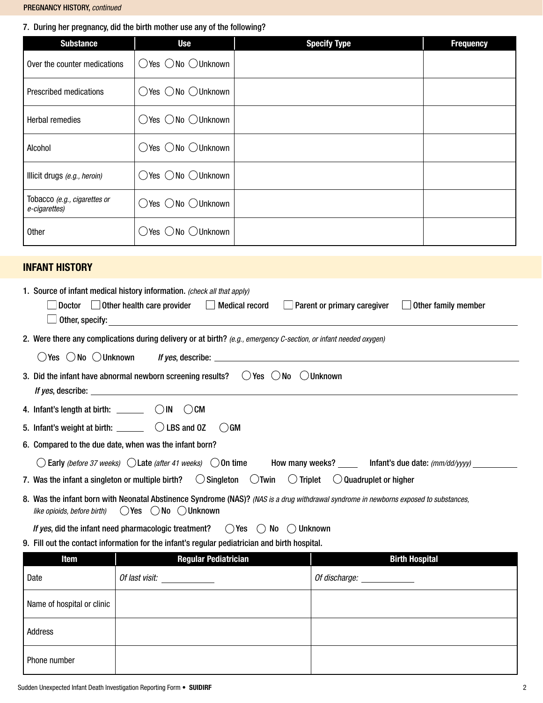### 7. During her pregnancy, did the birth mother use any of the following?

| <b>Substance</b>                              | <b>Use</b>                                      | <b>Specify Type</b> | <b>Frequency</b> |
|-----------------------------------------------|-------------------------------------------------|---------------------|------------------|
| Over the counter medications                  | $\bigcirc$ Yes $\bigcirc$ No $\bigcirc$ Unknown |                     |                  |
| <b>Prescribed medications</b>                 | $\bigcirc$ Yes $\bigcirc$ No $\bigcirc$ Unknown |                     |                  |
| <b>Herbal remedies</b>                        | $\bigcirc$ Yes $\bigcirc$ No $\bigcirc$ Unknown |                     |                  |
| Alcohol                                       | $\bigcirc$ Yes $\bigcirc$ No $\bigcirc$ Unknown |                     |                  |
| Illicit drugs (e.g., heroin)                  | $\bigcirc$ Yes $\bigcirc$ No $\bigcirc$ Unknown |                     |                  |
| Tobacco (e.g., cigarettes or<br>e-cigarettes) | $\bigcirc$ Yes $\bigcirc$ No $\bigcirc$ Unknown |                     |                  |
| Other                                         | $\bigcirc$ Yes $\bigcirc$ No $\bigcirc$ Unknown |                     |                  |

# INFANT HISTORY

| 1. Source of infant medical history information. (check all that apply)                                                                                                                                                                                                                                                               |
|---------------------------------------------------------------------------------------------------------------------------------------------------------------------------------------------------------------------------------------------------------------------------------------------------------------------------------------|
| $\Box$ Doctor $\Box$ Other health care provider $\Box$ Medical record<br>$\Box$ Parent or primary caregiver $\Box$ Other family member                                                                                                                                                                                                |
|                                                                                                                                                                                                                                                                                                                                       |
| 2. Were there any complications during delivery or at birth? (e.g., emergency C-section, or infant needed oxygen)                                                                                                                                                                                                                     |
|                                                                                                                                                                                                                                                                                                                                       |
| 3. Did the infant have abnormal newborn screening results? $\cup$ Yes $\cup$ No $\cup$ Unknown<br><i>If yes,</i> describe: the contract of the contract of the contract of the contract of the contract of the contract of the contract of the contract of the contract of the contract of the contract of the contract of the contra |
| 4. Infant's length at birth: $\_\_\_\_\_$ $\_\_$ $\_\_$ $\_\_$ $\_\_$ $\_\_$ $\_\_$                                                                                                                                                                                                                                                   |
| 5. Infant's weight at birth: $\Box$ $\Box$ $\Box$ $\Box$ $\Box$ $\Box$<br>$()$ GM                                                                                                                                                                                                                                                     |
| 6. Compared to the due date, when was the infant born?                                                                                                                                                                                                                                                                                |
| $\bigcirc$ Early (before 37 weeks) $\bigcirc$ Late (after 41 weeks) $\bigcirc$ On time How many weeks? ____ Infant's due date: (mm/dd/yyyy) _______                                                                                                                                                                                   |
| 7. Was the infant a singleton or multiple birth? $\bigcirc$ Singleton $\bigcirc$ Twin $\bigcirc$ Triplet $\bigcirc$ Quadruplet or higher                                                                                                                                                                                              |
| 8. Was the infant born with Neonatal Abstinence Syndrome (NAS)? (NAS is a drug withdrawal syndrome in newborns exposed to substances,<br>like opioids, before birth) $\bigcirc$ Yes $\bigcirc$ No $\bigcirc$ Unknown                                                                                                                  |

*If yes*, did the infant need pharmacologic treatment?  $\bigcirc$  Yes  $\bigcirc$  No  $\bigcirc$  Unknown

9. Fill out the contact information for the infant's regular pediatrician and birth hospital.

| Item                       | <b>Regular Pediatrician</b> | <b>Birth Hospital</b>    |
|----------------------------|-----------------------------|--------------------------|
| Date                       | Of last visit:              | Of discharge: __________ |
| Name of hospital or clinic |                             |                          |
| Address                    |                             |                          |
| Phone number               |                             |                          |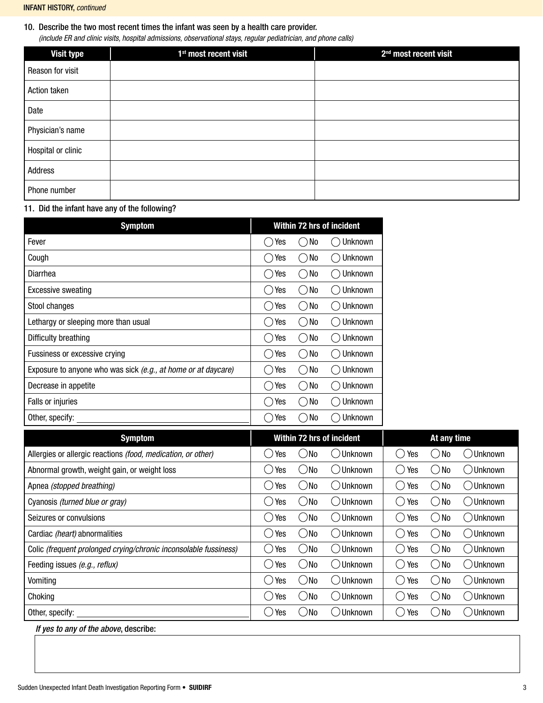### 10. Describe the two most recent times the infant was seen by a health care provider.

*(include ER and clinic visits, hospital admissions, observational stays, regular pediatrician, and phone calls)* 

| <b>Visit type</b>  | 1 <sup>st</sup> most recent visit | 2 <sup>nd</sup> most recent visit |
|--------------------|-----------------------------------|-----------------------------------|
| Reason for visit   |                                   |                                   |
| Action taken       |                                   |                                   |
| Date               |                                   |                                   |
| Physician's name   |                                   |                                   |
| Hospital or clinic |                                   |                                   |
| Address            |                                   |                                   |
| Phone number       |                                   |                                   |

11. Did the infant have any of the following?

| <b>Symptom</b>                                                |                                     | Within 72 hrs of incident                           |                           |  |  |
|---------------------------------------------------------------|-------------------------------------|-----------------------------------------------------|---------------------------|--|--|
| Fever                                                         | Yes                                 | No                                                  | Unknown                   |  |  |
| Cough                                                         | Yes                                 | No<br>$\Box$                                        | Unknown<br>$\mathcal{L}$  |  |  |
| Diarrhea                                                      | Yes                                 | No<br>$\left(\begin{array}{c} \end{array}\right)$   | Unknown<br>$\sim$         |  |  |
| <b>Excessive sweating</b>                                     | Yes                                 | No<br>$\Box$                                        | Unknown<br>$\mathcal{L}$  |  |  |
| Stool changes                                                 | Yes                                 | No                                                  | Unknown<br>71             |  |  |
| Lethargy or sleeping more than usual                          | Yes                                 | No<br>$\Box$                                        | Unknown                   |  |  |
| Difficulty breathing                                          | Yes                                 | No<br>$\left( \begin{array}{c} \end{array} \right)$ | Unknown                   |  |  |
| Fussiness or excessive crying                                 | Yes<br>b.                           | No<br>$\left( \begin{array}{c} \end{array} \right)$ | Unknown                   |  |  |
| Exposure to anyone who was sick (e.g., at home or at daycare) | Yes                                 | No<br>$\Box$                                        | Unknown                   |  |  |
| Decrease in appetite                                          | Yes                                 | No<br>$\left(\begin{array}{c} \end{array}\right)$   | Unknown                   |  |  |
| Falls or injuries                                             | Yes                                 | No<br>$\bigcirc$                                    | Unknown                   |  |  |
| Other, specify:                                               | Yes                                 | No<br>$\Box$                                        | Unknown                   |  |  |
| <b>Symptom</b>                                                |                                     |                                                     | Within 72 hrs of incident |  |  |
| Allergies or allergic reactions (food, medication, or other)  | Yes                                 | No<br>$\Box$                                        | $\bigcirc$ Unknown        |  |  |
| Abnormal growth, weight gain, or weight loss                  | Yes                                 | No<br>$\Box$                                        | ( )Unknown                |  |  |
| Apnea (stopped breathing)                                     | Yes<br>$\hspace{0.1cm} \rightarrow$ | $\bigcirc$ No                                       | ◯Unknown                  |  |  |
|                                                               | ⌒.,                                 | ╱ ╲ ╸╸                                              | $\curvearrowright$        |  |  |

| Allergies or allergic reactions (food, medication, or other)     | Yes | )No           | <b>Unknown</b> | Yes                  | No             | <b>Unknown</b> |
|------------------------------------------------------------------|-----|---------------|----------------|----------------------|----------------|----------------|
| Abnormal growth, weight gain, or weight loss                     | Yes | )No           | .)Unknown      | Yes                  | No             | Dunknown       |
| Apnea (stopped breathing)                                        | Yes | )No           | . Unknown      | Yes<br>$\rightarrow$ | N <sub>0</sub> | Dunknown       |
| Cyanosis (turned blue or gray)                                   | Yes | )No           | 、)Unknown      | Yes                  | N <sub>0</sub> | ◯ Unknown      |
| Seizures or convulsions                                          | Yes | )No           | .)Unknown      | Yes                  | No             | Unknown        |
| Cardiac (heart) abnormalities                                    | Yes | - )No         | ◯ Unknown      | Yes<br>$\rightarrow$ | No             | つUnknown       |
| Colic (frequent prolonged crying/chronic inconsolable fussiness) | Yes | )No           | .)Unknown      | Yes                  | No             | Unknown        |
| Feeding issues (e.g., reflux)                                    | Yes | $\bigcirc$ No | ◯ Unknown      | Yes<br>$\rightarrow$ | No             | Unknown        |
| Vomiting                                                         | Yes | )No           | .) Unknown     | Yes<br>$\rightarrow$ | No             | .)Unknown      |
| Choking                                                          | Yes | )No           | .)Unknown      | Yes                  | N <sub>0</sub> | . ) Unknown    |
| Other, specify:                                                  | Yes | )No           | ) Unknown      | Yes                  | No             | Unknown        |
| .                                                                |     |               |                |                      |                |                |

*If yes to any of the above*, describe:

At any time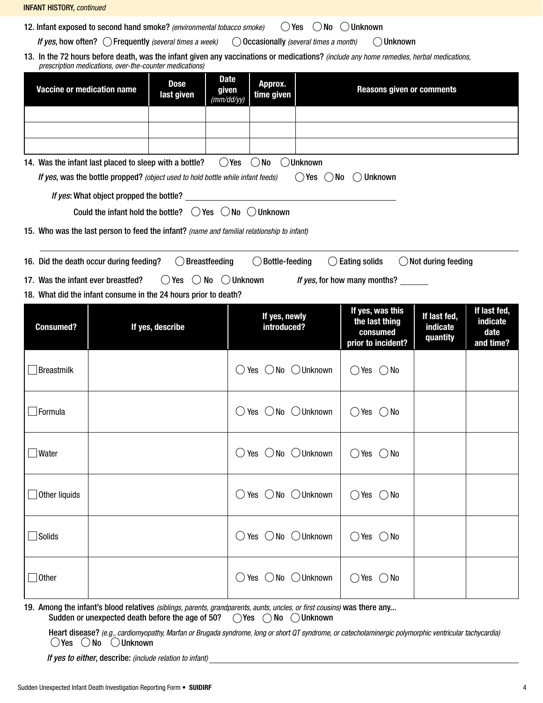| <b>INFANT HISTORY, continued</b>                                                                                                                                                                                                                            |                                                                                                                              |                                                 |                                                                      |                                      |                                               |  |  |  |  |  |
|-------------------------------------------------------------------------------------------------------------------------------------------------------------------------------------------------------------------------------------------------------------|------------------------------------------------------------------------------------------------------------------------------|-------------------------------------------------|----------------------------------------------------------------------|--------------------------------------|-----------------------------------------------|--|--|--|--|--|
|                                                                                                                                                                                                                                                             | $\bigcirc$ No $\bigcirc$ Unknown<br>12. Infant exposed to second hand smoke? (environmental tobacco smoke)<br>$\bigcirc$ Yes |                                                 |                                                                      |                                      |                                               |  |  |  |  |  |
| If yes, how often? () Frequently (several times a week)<br>( ) Occasionally (several times a month)<br>()Unknown<br>13. In the 72 hours before death, was the infant given any vaccinations or medications? (include any home remedies, herbal medications, |                                                                                                                              |                                                 |                                                                      |                                      |                                               |  |  |  |  |  |
|                                                                                                                                                                                                                                                             | prescription medications, over-the-counter medications)<br><b>Date</b>                                                       |                                                 |                                                                      |                                      |                                               |  |  |  |  |  |
| <b>Dose</b><br>Approx.<br><b>Vaccine or medication name</b><br><b>Reasons given or comments</b><br>given<br>time given<br>last given<br>(mm/dd/yy)                                                                                                          |                                                                                                                              |                                                 |                                                                      |                                      |                                               |  |  |  |  |  |
|                                                                                                                                                                                                                                                             |                                                                                                                              |                                                 |                                                                      |                                      |                                               |  |  |  |  |  |
|                                                                                                                                                                                                                                                             |                                                                                                                              |                                                 |                                                                      |                                      |                                               |  |  |  |  |  |
|                                                                                                                                                                                                                                                             | 14. Was the infant last placed to sleep with a bottle?                                                                       | $\bigcirc$ No<br>$\bigcirc$ Yes<br>()Unknown    |                                                                      |                                      |                                               |  |  |  |  |  |
|                                                                                                                                                                                                                                                             | If yes, was the bottle propped? (object used to hold bottle while infant feeds)                                              | $\bigcirc$ Yes $\bigcirc$ No                    | <b>Unknown</b><br>(                                                  |                                      |                                               |  |  |  |  |  |
|                                                                                                                                                                                                                                                             | If yes: What object propped the bottle?                                                                                      |                                                 |                                                                      |                                      |                                               |  |  |  |  |  |
|                                                                                                                                                                                                                                                             | Could the infant hold the bottle? $\bigcirc$ Yes $\bigcirc$ No $\bigcirc$ Unknown                                            |                                                 |                                                                      |                                      |                                               |  |  |  |  |  |
|                                                                                                                                                                                                                                                             | 15. Who was the last person to feed the infant? (name and familial relationship to infant)                                   |                                                 |                                                                      |                                      |                                               |  |  |  |  |  |
|                                                                                                                                                                                                                                                             | 16. Did the death occur during feeding?<br>Breastfeeding                                                                     | $\bigcirc$ Bottle-feeding                       | <b>Eating solids</b>                                                 | $\bigcirc$ Not during feeding        |                                               |  |  |  |  |  |
| 17. Was the infant ever breastfed?                                                                                                                                                                                                                          | () Yes () No () Unknown                                                                                                      |                                                 | If yes, for how many months?                                         |                                      |                                               |  |  |  |  |  |
| 18. What did the infant consume in the 24 hours prior to death?                                                                                                                                                                                             |                                                                                                                              |                                                 |                                                                      |                                      |                                               |  |  |  |  |  |
|                                                                                                                                                                                                                                                             |                                                                                                                              |                                                 |                                                                      |                                      |                                               |  |  |  |  |  |
| <b>Consumed?</b>                                                                                                                                                                                                                                            | If yes, describe                                                                                                             | If yes, newly<br>introduced?                    | If yes, was this<br>the last thing<br>consumed<br>prior to incident? | If last fed,<br>indicate<br>quantity | If last fed,<br>indicate<br>date<br>and time? |  |  |  |  |  |
| Breastmilk                                                                                                                                                                                                                                                  |                                                                                                                              | $\bigcirc$ Yes $\bigcirc$ No $\bigcirc$ Unknown | $()$ Yes<br>$( )$ No                                                 |                                      |                                               |  |  |  |  |  |
| $\Box$ Formula                                                                                                                                                                                                                                              |                                                                                                                              | $\bigcirc$ Yes $\bigcirc$ No $\bigcirc$ Unknown | $\bigcirc$ Yes $\bigcirc$ No                                         |                                      |                                               |  |  |  |  |  |
| $\Box$ Water                                                                                                                                                                                                                                                |                                                                                                                              | $\bigcirc$ Yes $\bigcirc$ No $\bigcirc$ Unknown | $\bigcirc$ Yes $\bigcirc$ No                                         |                                      |                                               |  |  |  |  |  |
| $\Box$ Other liquids                                                                                                                                                                                                                                        |                                                                                                                              | $\bigcirc$ Yes $\bigcirc$ No $\bigcirc$ Unknown | $\bigcirc$ Yes $\bigcirc$ No                                         |                                      |                                               |  |  |  |  |  |
| $\Box$ Solids                                                                                                                                                                                                                                               |                                                                                                                              | $\bigcirc$ Yes $\bigcirc$ No $\bigcirc$ Unknown | $\bigcirc$ Yes $\bigcirc$ No                                         |                                      |                                               |  |  |  |  |  |

19. Among the infant's blood relatives *(siblings, parents, grandparents, aunts, uncles, or first cousins)* was there any... Sudden or unexpected death before the age of 50?  $\bigcirc$  Yes  $\bigcirc$  No  $\bigcirc$  Unknown

Heart disease? *(e.g., cardiomyopathy, Marfan or Brugada syndrome, long or short QT syndrome, or catecholaminergic polymorphic ventricular tachycardia)* Yes  $\bigcirc$  No  $\bigcirc$  Unknown

*If yes to either*, describe: *(include relation to infant)*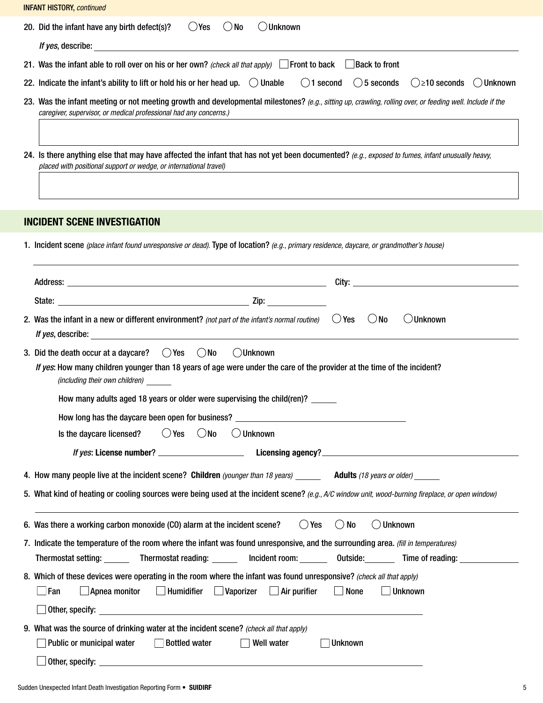20. Did the infant have any birth defect(s)?  $\bigcirc$  Yes  $\bigcirc$  No  $\bigcirc$  Unknown *If yes*, describe: 21. Was the infant able to roll over on his or her own? *(check all that apply)* Front to back Back to front 22. Indicate the infant's ability to lift or hold his or her head up.  $\bigcirc$  Unable  $\bigcirc$  1 second  $\bigcirc$  5 seconds  $\bigcirc$  ≥10 seconds  $\bigcirc$  Unknown 23. Was the infant meeting or not meeting growth and developmental milestones? *(e.g., sitting up, crawling, rolling over, or feeding well. Include if the caregiver, supervisor, or medical professional had any concerns.)* 24. Is there anything else that may have affected the infant that has not yet been documented? *(e.g., exposed to fumes, infant unusually heavy, placed with positional support or wedge, or international travel)* INCIDENT SCENE INVESTIGATION 1. Incident scene *(place infant found unresponsive or dead).* Type of location? *(e.g., primary residence, daycare, or grandmother's house)* Address: City: State: Zip: 2. Was the infant in a new or different environment? *(not part of the infant's normal routine)*  $\bigcirc$  Yes  $\bigcirc$  No  $\bigcirc$  Unknown *If yes*, describe: 3. Did the death occur at a daycare?  $\bigcirc$  Yes  $\bigcirc$  No  $\bigcirc$  Unknown *If yes*: How many children younger than 18 years of age were under the care of the provider at the time of the incident? *(including their own children)* How many adults aged 18 years or older were supervising the child(ren)? How long has the daycare been open for business? Is the daycare licensed?  $\bigcirc$  Yes  $\bigcirc$  No  $\bigcirc$  Unknown *If yes*: License number? Licensing agency? 4. How many people live at the incident scene? Children *(younger than 18 years)* Adults *(18 years or older)* 5. What kind of heating or cooling sources were being used at the incident scene? *(e.g., A/C window unit, wood-burning fireplace, or open window)* 6. Was there a working carbon monoxide (CO) alarm at the incident scene?  $\bigcirc$  Yes  $\bigcirc$  No  $\bigcirc$  Unknown 7. Indicate the temperature of the room where the infant was found unresponsive, and the surrounding area. *(fill in temperatures)*  Thermostat setting: Thermostat reading: 100 minimity of the dutside: Time of reading: 100 minimity of reading: 8. Which of these devices were operating in the room where the infant was found unresponsive? *(check all that apply)* Fan Apnea monitor Humidifier Vaporizer Air purifier None Unknown Other, specify: 9. What was the source of drinking water at the incident scene? *(check all that apply)*  INFANT HISTORY, *continued*

Other, specify: \_\_\_\_\_\_\_\_\_\_\_\_\_\_\_

■Public or municipal water Bottled water I Well water Vell water I Unknown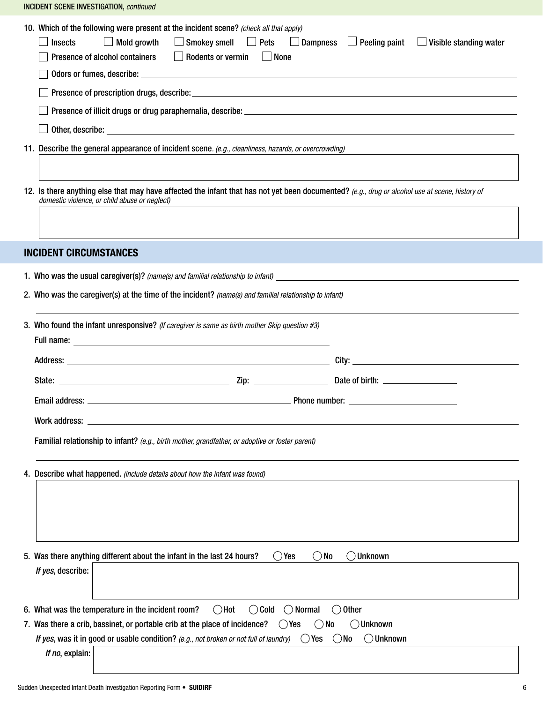10. Which of the following were present at the incident scene? *(check all that apply)*  $\Box$  Insects  $\Box$  Mold growth  $\Box$  Smokey smell  $\Box$  Pets  $\Box$  Dampness  $\Box$  Peeling paint  $\Box$  Visible standing water  $\Box$  Presence of alcohol containers  $\Box$  Rodents or vermin  $\Box$  None  $\Box$  Odors or fumes, describe:  $\Box$ Presence of prescription drugs, describe: Presence of illicit drugs or drug paraphernalia, describe: \_\_\_\_\_\_\_\_\_\_\_\_\_\_\_\_\_\_\_\_\_  $\Box$  Other, describe:  $\Box$ 11. Describe the general appearance of incident scene*. (e.g., cleanliness, hazards, or overcrowding)* 12. Is there anything else that may have affected the infant that has not yet been documented? *(e.g., drug or alcohol use at scene, history of domestic violence, or child abuse or neglect)* INCIDENT CIRCUMSTANCES 1. Who was the usual caregiver(s)? *(name(s) and familial relationship to infant)* 2. Who was the caregiver(s) at the time of the incident? *(name(s) and familial relationship to infant)* 3. Who found the infant unresponsive? *(If caregiver is same as birth mother Skip question #3)* Full name: Address: City: State: Zip: Date of birth: Email address: Phone number: Work address: \_ Familial relationship to infant? *(e.g., birth mother, grandfather, or adoptive or foster parent)* 4. Describe what happened. *(include details about how the infant was found)* 5. Was there anything different about the infant in the last 24 hours?  $\bigcirc$  Yes  $\bigcirc$  No  $\bigcirc$  Unknown *If yes*, describe: 6. What was the temperature in the incident room?  $\bigcirc$  Hot  $\bigcirc$  Cold  $\bigcirc$  Normal  $\bigcirc$  Other 7. Was there a crib, bassinet, or portable crib at the place of incidence?  $\bigcirc$  Yes  $\bigcirc$  No  $\bigcirc$  Unknown *If yes*, was it in good or usable condition? (e.g., not broken or not full of laundry)  $\bigcirc$  Yes  $\bigcirc$  No  $\bigcirc$  Unknown *If no*, explain: INCIDENT SCENE INVESTIGATION, *continued*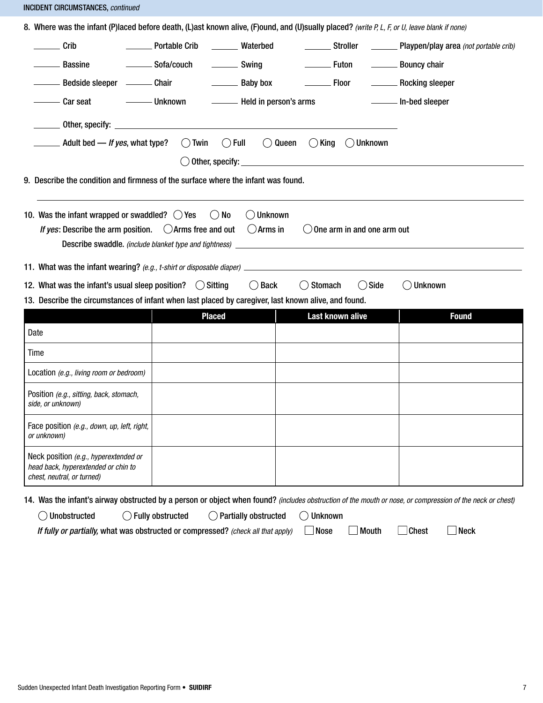INCIDENT CIRCUMSTANCES, *continued*

| Crib                                                                                                                                                                                                                                                                                                            | <b>Nortable Crib</b>  | <b>Waterbed</b>                     | ________ Stroller                     | Playpen/play area (not portable crib) |
|-----------------------------------------------------------------------------------------------------------------------------------------------------------------------------------------------------------------------------------------------------------------------------------------------------------------|-----------------------|-------------------------------------|---------------------------------------|---------------------------------------|
| <b>Bassine</b>                                                                                                                                                                                                                                                                                                  | __________ Sofa/couch | Swing                               | <b>Euton</b>                          | <b>Example 1</b> Bouncy chair         |
| ——— Bedside sleeper ———— Chair                                                                                                                                                                                                                                                                                  |                       | <b>Example 1</b> Baby box           |                                       | <b>Example 2</b> Rocking sleeper      |
| —— Car seat                                                                                                                                                                                                                                                                                                     |                       |                                     |                                       |                                       |
|                                                                                                                                                                                                                                                                                                                 |                       |                                     |                                       |                                       |
| _______ Adult bed — <i>If yes</i> , what type?                                                                                                                                                                                                                                                                  | $\bigcirc$ Twin       | $\bigcirc$ Full<br>$\bigcirc$ Queen | $()$ King<br>◯ Unknown                |                                       |
|                                                                                                                                                                                                                                                                                                                 |                       |                                     |                                       |                                       |
| 9. Describe the condition and firmness of the surface where the infant was found.                                                                                                                                                                                                                               |                       |                                     |                                       |                                       |
| 10. Was the infant wrapped or swaddled? $\bigcirc$ Yes<br>If yes: Describe the arm position. $\bigcirc$ Arms free and out $\bigcirc$ Arms in                                                                                                                                                                    | No<br>$($ )           | Unknown                             | $\bigcirc$ One arm in and one arm out |                                       |
|                                                                                                                                                                                                                                                                                                                 |                       |                                     |                                       |                                       |
|                                                                                                                                                                                                                                                                                                                 |                       | $()$ Back                           | () Side<br>() Stomach                 | <b>Unknown</b>                        |
| 11. What was the infant wearing? (e.g., t-shirt or disposable diaper) <b>contained a contained a contained by the contained a</b><br>12. What was the infant's usual sleep position? $\bigcirc$ Sitting<br>13. Describe the circumstances of infant when last placed by caregiver, last known alive, and found. |                       |                                     |                                       |                                       |
| Date                                                                                                                                                                                                                                                                                                            | <b>Placed</b>         |                                     | Last known alive                      | <b>Found</b>                          |
| Time                                                                                                                                                                                                                                                                                                            |                       |                                     |                                       |                                       |
| Location (e.g., living room or bedroom)                                                                                                                                                                                                                                                                         |                       |                                     |                                       |                                       |
| Position (e.g., sitting, back, stomach,<br>side, or unknown)                                                                                                                                                                                                                                                    |                       |                                     |                                       |                                       |
| Face position (e.g., down, up, left, right,<br>or unknown)                                                                                                                                                                                                                                                      |                       |                                     |                                       |                                       |

14. Was the infant's airway obstructed by a person or object when found? *(includes obstruction of the mouth or nose, or compression of the neck or chest)*

| ◯ Unobstructed | $\bigcirc$ Fully obstructed | $\bigcirc$ Partially obstructed | $\bigcirc$ Unknown |
|----------------|-----------------------------|---------------------------------|--------------------|
|----------------|-----------------------------|---------------------------------|--------------------|

*If fully or partially,* what was obstructed or compressed? (check all that apply)  $\Box$  Nose  $\Box$  Mouth  $\Box$  Chest  $\Box$  Neck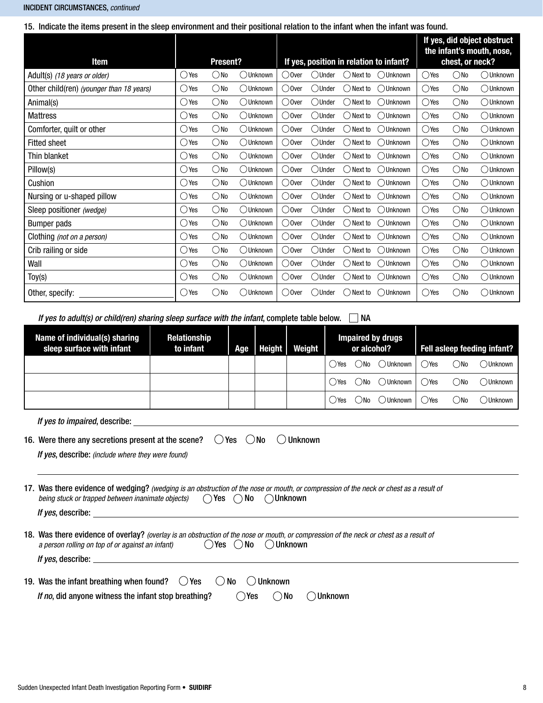#### INCIDENT CIRCUMSTANCES, *continued*

15. Indicate the items present in the sleep environment and their positional relation to the infant when the infant was found.

| <b>Item</b>                              |                | Present?      |                    |                 |          |             | If yes, position in relation to infant? |                | chest, or neck? | If yes, did object obstruct<br>the infant's mouth, nose, |
|------------------------------------------|----------------|---------------|--------------------|-----------------|----------|-------------|-----------------------------------------|----------------|-----------------|----------------------------------------------------------|
| Adult(s) (18 years or older)             | $\bigcirc$ Yes | ()No          | ( )Unknown         | ( )Over         | ()Under  | ( ) Next to | ( )Unknown                              | ()Yes          | ()No            | ( )Unknown                                               |
| Other child(ren) (younger than 18 years) | $\bigcirc$ Yes | $\bigcirc$ No | ◯ Unknown          | ◯0ver           | ()Under  | ( ) Next to | ◯Unknown                                | $\bigcirc$ Yes | $\bigcirc$ No   | ◯ Unknown                                                |
| Animal(s)                                | ◯ Yes          | ○No           | ( )Unknown         | ( )Over         | ()Under  | ) Next to   | ( )Unknown                              | $\bigcirc$ Yes | $\bigcirc$ No   | ( )Unknown                                               |
| <b>Mattress</b>                          | $\bigcirc$ Yes | $\bigcirc$ No | ( )Unknown         | () Over         | ()Under  | Next to     | ( )Unknown                              | $\bigcirc$ Yes | $\bigcirc$ No   | $\bigcirc$ Unknown                                       |
| Comforter, quilt or other                | () Yes         | $\bigcirc$ No | OUnknown           | ○ Over          | ○Under   | ( ) Next to | ○ Unknown                               | $\bigcirc$ Yes | $\bigcirc$ No   | ◯Unknown                                                 |
| <b>Fitted sheet</b>                      | $\bigcirc$ Yes | $\bigcirc$ No | ( )Unknown         | () Over         | ()Under  | ( ) Next to | ()Unknown                               | $\bigcirc$ Yes | $\bigcirc$ No   | ( )Unknown                                               |
| Thin blanket                             | ○Yes           | $\bigcirc$ No | OUnknown           | ○ Over          | ()Under  | ( ) Next to | ( )Unknown                              | $\bigcirc$ Yes | $\bigcirc$ No   | ○Unknown                                                 |
| Pillow(s)                                | ◯ Yes          | ○No           | ( )Unknown         | ○0ver           | ()Under  | Next to     | ()Unknown                               | $\bigcirc$ Yes | $\bigcirc$ No   | ( )Unknown                                               |
| Cushion                                  | $\bigcirc$ Yes | $\bigcirc$ No | $\bigcirc$ Unknown | ( )Over         | ()Under  | ( ) Next to | ()Unknown                               | $\bigcirc$ Yes | $\bigcirc$ No   | ( )Unknown                                               |
| Nursing or u-shaped pillow               | $\bigcirc$ Yes | $\bigcirc$ No | ◯ Unknown          | $\bigcirc$ Over | ()Under  | ) Next to   | ( )Unknown                              | $\bigcirc$ Yes | $\bigcirc$ No   | $\bigcirc$ Unknown                                       |
| Sleep positioner (wedge)                 | $\bigcirc$ Yes | $\bigcirc$ No | ( )Unknown         | () Over         | ()Under  | Next to     | ( )Unknown                              | $\bigcirc$ Yes | $\bigcirc$ No   | ( )Unknown                                               |
| Bumper pads                              | $\bigcirc$ Yes | $\bigcirc$ No | OUnknown           | () Over         | ◯Under   | ( ) Next to | ◯ Unknown                               | $\bigcirc$ Yes | $\bigcirc$ No   | ( )Unknown                                               |
| Clothing (not on a person)               | $\bigcirc$ Yes | $\bigcirc$ No | ( )Unknown         | ( )Over         | ()Under  | ( ) Next to | ( )Unknown                              | $\bigcirc$ Yes | $\bigcirc$ No   | ( )Unknown                                               |
| Crib railing or side                     | $\bigcirc$ Yes | $\bigcirc$ No | ( )Unknown         | ○ Over          | ( )Under | Next to     | ()Unknown                               | $\bigcirc$ Yes | $\bigcirc$ No   | ( )Unknown                                               |
| Wall                                     | $\bigcirc$ Yes | $\bigcirc$ No | $\bigcirc$ Unknown | $\bigcirc$ Over | ()Under  | ( ) Next to | ( )Unknown                              | $\bigcirc$ Yes | $\bigcirc$ No   | ( )Unknown                                               |
| $\text{Toy}(s)$                          | $\bigcirc$ Yes | ()No          | ( )Unknown         | $\bigcirc$ Over | ()Under  | ( ) Next to | ()Unknown                               | $\bigcirc$ Yes | $\bigcirc$ No   | ( )Unknown                                               |
| Other, specify:                          | $\bigcirc$ Yes | $\bigcirc$ No | ◯Unknown           | ○0ver           | ◯Under   | ( ) Next to | ◯Unknown                                | $\bigcirc$ Yes | $\bigcirc$ No   | ( )Unknown                                               |

*If yes to adult(s) or child(ren) sharing sleep surface with the infant*, complete table below.  $\Box$  NA

| Name of individual(s) sharing<br>sleep surface with infant                                                                                                                                                                                    | Relationship<br>to infant | Age        | <b>Height</b><br>Weight |                | <b>Impaired by drugs</b><br>or alcohol? |            |             |                | Fell asleep feeding infant? |           |
|-----------------------------------------------------------------------------------------------------------------------------------------------------------------------------------------------------------------------------------------------|---------------------------|------------|-------------------------|----------------|-----------------------------------------|------------|-------------|----------------|-----------------------------|-----------|
|                                                                                                                                                                                                                                               |                           |            |                         |                | ()Yes                                   | $($ $)$ No | ( )Unknown  | ()Yes          | $\bigcirc$ No               | ◯ Unknown |
|                                                                                                                                                                                                                                               |                           |            |                         |                | ()Yes                                   | $($ $)$ No | ( ) Unknown | $\bigcirc$ Yes | $\bigcirc$ No               | ◯Unknown  |
|                                                                                                                                                                                                                                               |                           |            |                         |                | ()Yes                                   | $($ $)$ No | ◯ Unknown   | $\bigcirc$ Yes | $\bigcirc$ No               | ()Unknown |
|                                                                                                                                                                                                                                               |                           |            |                         |                |                                         |            |             |                |                             |           |
| 16. Were there any secretions present at the scene?<br>If yes, describe: (include where they were found)                                                                                                                                      |                           | ()Yes ()No |                         | <b>Unknown</b> |                                         |            |             |                |                             |           |
| 17. Was there evidence of wedging? (wedging is an obstruction of the nose or mouth, or compression of the neck or chest as a result of<br>being stuck or trapped between inanimate objects) $\bigcirc$ Yes $\bigcirc$ No $\bigcirc$ Unknown   |                           |            |                         |                |                                         |            |             |                |                             |           |
| <i>If yes,</i> describe: the contract of the contract of the contract of the contract of the contract of the contract of the contract of the contract of the contract of the contract of the contract of the contract of the contra           |                           |            |                         |                |                                         |            |             |                |                             |           |
| 18. Was there evidence of overlay? (overlay is an obstruction of the nose or mouth, or compression of the neck or chest as a result of<br>$\bigcirc$ Yes $\bigcirc$ No $\bigcirc$ Unknown<br>a person rolling on top of or against an infant) |                           |            |                         |                |                                         |            |             |                |                             |           |
| <i>If ves</i> , describe: the contract of the contract of the contract of the contract of the contract of the contract of the contract of the contract of the contract of the contract of the contract of the contract of the contra          |                           |            |                         |                |                                         |            |             |                |                             |           |
| 19. Was the infant breathing when found? $\bigcirc$ Yes $\bigcirc$ No $\bigcirc$ Unknown<br>If no, did anyone witness the infant stop breathing?                                                                                              |                           | $( )$ Yes  | ( )No                   |                | Unknown                                 |            |             |                |                             |           |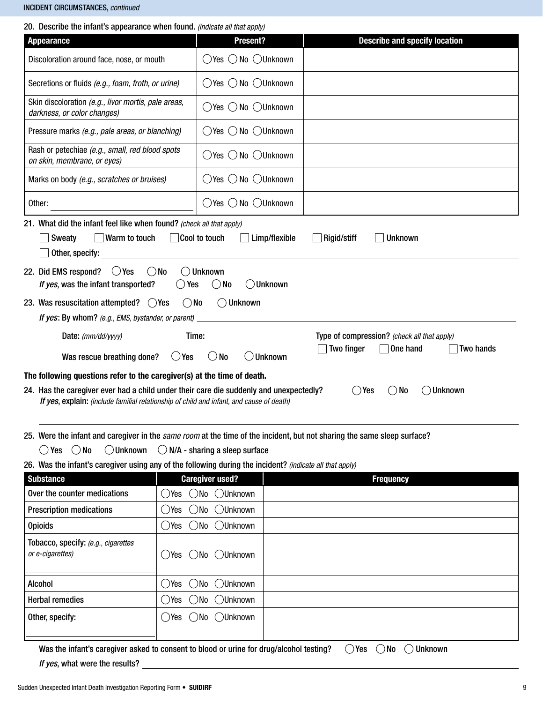#### INCIDENT CIRCUMSTANCES, *continued*

|  |  |  |  | 20. Describe the infant's appearance when found. (indicate all that apply) |  |  |
|--|--|--|--|----------------------------------------------------------------------------|--|--|
|--|--|--|--|----------------------------------------------------------------------------|--|--|

| 20. Describe the imail is appearance when found. <i>(indicate all that apply)</i>                                                                                                                                                                                                              |                                                 |                                      |  |  |  |  |  |
|------------------------------------------------------------------------------------------------------------------------------------------------------------------------------------------------------------------------------------------------------------------------------------------------|-------------------------------------------------|--------------------------------------|--|--|--|--|--|
| <b>Appearance</b>                                                                                                                                                                                                                                                                              | Present?                                        | <b>Describe and specify location</b> |  |  |  |  |  |
| Discoloration around face, nose, or mouth                                                                                                                                                                                                                                                      | $\bigcirc$ Yes $\bigcirc$ No $\bigcirc$ Unknown |                                      |  |  |  |  |  |
| Secretions or fluids (e.g., foam, froth, or urine)                                                                                                                                                                                                                                             | $\bigcirc$ Yes $\bigcirc$ No $\bigcirc$ Unknown |                                      |  |  |  |  |  |
| Skin discoloration (e.g., livor mortis, pale areas,<br>darkness, or color changes)                                                                                                                                                                                                             | $\bigcirc$ Yes $\bigcirc$ No $\bigcirc$ Unknown |                                      |  |  |  |  |  |
| Pressure marks (e.g., pale areas, or blanching)                                                                                                                                                                                                                                                | $\bigcirc$ Yes $\bigcirc$ No $\bigcirc$ Unknown |                                      |  |  |  |  |  |
| Rash or petechiae (e.g., small, red blood spots<br>on skin, membrane, or eyes)                                                                                                                                                                                                                 | ○Yes ○ No ○Unknown                              |                                      |  |  |  |  |  |
| Marks on body (e.g., scratches or bruises)                                                                                                                                                                                                                                                     | $\bigcirc$ Yes $\bigcirc$ No $\bigcirc$ Unknown |                                      |  |  |  |  |  |
| Other:                                                                                                                                                                                                                                                                                         | $\bigcirc$ Yes $\bigcirc$ No $\bigcirc$ Unknown |                                      |  |  |  |  |  |
| 21. What did the infant feel like when found? (check all that apply)<br>$\vert$ Warm to touch<br>Sweaty<br>Other, specify:<br>○ Yes<br>$\bigcirc$ No<br>22. Did EMS respond?                                                                                                                   | Cool to touch<br>Limp/flexible<br>()Unknown     | Rigid/stiff<br><b>Unknown</b>        |  |  |  |  |  |
| If yes, was the infant transported?                                                                                                                                                                                                                                                            | ◯ Unknown<br>$\bigcirc$ No<br>Yes               |                                      |  |  |  |  |  |
| 23. Was resuscitation attempted? $\bigcirc$ Yes<br>If yes: By whom? (e.g., EMS, bystander, or parent)                                                                                                                                                                                          | $\bigcirc$ No<br>$\bigcirc$ Unknown             |                                      |  |  |  |  |  |
| Type of compression? (check all that apply)<br>Time: $\_\_$<br>Two finger<br>One hand<br>Two hands<br>$\bigcirc$ Yes<br>$\bigcirc$ No<br>Unknown<br>Was rescue breathing done?                                                                                                                 |                                                 |                                      |  |  |  |  |  |
| The following questions refer to the caregiver(s) at the time of death.<br>◯ Unknown<br>24. Has the caregiver ever had a child under their care die suddenly and unexpectedly?<br>()Yes<br>$()$ No<br>If yes, explain: (include familial relationship of child and infant, and cause of death) |                                                 |                                      |  |  |  |  |  |
| 25. Were the infant and caregiver in the same room at the time of the incident, but not sharing the same sleep surface?                                                                                                                                                                        |                                                 |                                      |  |  |  |  |  |
| $\bigcirc$ No<br>$\bigcirc$ Unknown<br>$()$ Yes                                                                                                                                                                                                                                                | $\bigcirc$ N/A - sharing a sleep surface        |                                      |  |  |  |  |  |
| 26. Was the infant's caregiver using any of the following during the incident? (indicate all that apply)                                                                                                                                                                                       |                                                 |                                      |  |  |  |  |  |
| <b>Substance</b>                                                                                                                                                                                                                                                                               | <b>Caregiver used?</b>                          | <b>Frequency</b>                     |  |  |  |  |  |
| Over the counter medications<br>()Yes                                                                                                                                                                                                                                                          | $\bigcirc$ No<br><b>OUnknown</b>                |                                      |  |  |  |  |  |
| <b>Prescription medications</b><br>()Yes                                                                                                                                                                                                                                                       | <b>OUnknown</b><br>$\bigcirc$ No                |                                      |  |  |  |  |  |
| <b>Opioids</b><br>()Yes                                                                                                                                                                                                                                                                        | $\bigcirc$ No<br><b>OUnknown</b>                |                                      |  |  |  |  |  |
| Tobacco, specify: (e.g., cigarettes<br>or e-cigarettes)<br>$()$ Yes                                                                                                                                                                                                                            | <b>OUnknown</b><br>OMO                          |                                      |  |  |  |  |  |
| <b>Alcohol</b><br>$\bigcirc$ Yes                                                                                                                                                                                                                                                               | $\bigcirc$ No<br><b>OUnknown</b>                |                                      |  |  |  |  |  |
| <b>Herbal remedies</b><br>()Yes                                                                                                                                                                                                                                                                | <b>OUnknown</b><br>()No                         |                                      |  |  |  |  |  |
| Other, specify:<br>$\bigcirc$ Yes                                                                                                                                                                                                                                                              | $\bigcirc$ No<br>◯Unknown                       |                                      |  |  |  |  |  |

Was the infant's caregiver asked to consent to blood or urine for drug/alcohol testing?  $\Box$  Yes  $\Box$  No  $\Box$  Unknown

*If yes*, what were the results?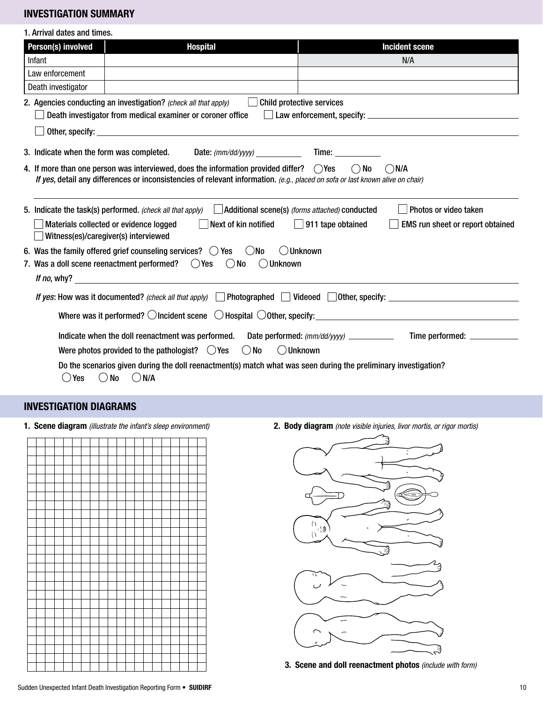## INVESTIGATION SUMMARY

| 1. Arrival dates and times.                                                                                                                                                                                                        |                                                                 |                                   |                                                                                                                                                                                                                                |                                                                                            |  |  |
|------------------------------------------------------------------------------------------------------------------------------------------------------------------------------------------------------------------------------------|-----------------------------------------------------------------|-----------------------------------|--------------------------------------------------------------------------------------------------------------------------------------------------------------------------------------------------------------------------------|--------------------------------------------------------------------------------------------|--|--|
| Person(s) involved                                                                                                                                                                                                                 | <b>Hospital</b>                                                 |                                   |                                                                                                                                                                                                                                | <b>Incident scene</b>                                                                      |  |  |
| Infant                                                                                                                                                                                                                             |                                                                 |                                   |                                                                                                                                                                                                                                | N/A                                                                                        |  |  |
| Law enforcement                                                                                                                                                                                                                    |                                                                 |                                   |                                                                                                                                                                                                                                |                                                                                            |  |  |
| Death investigator                                                                                                                                                                                                                 |                                                                 |                                   |                                                                                                                                                                                                                                |                                                                                            |  |  |
|                                                                                                                                                                                                                                    | 2. Agencies conducting an investigation? (check all that apply) |                                   | <b>Child protective services</b>                                                                                                                                                                                               |                                                                                            |  |  |
|                                                                                                                                                                                                                                    | Death investigator from medical examiner or coroner office      |                                   |                                                                                                                                                                                                                                |                                                                                            |  |  |
|                                                                                                                                                                                                                                    |                                                                 |                                   |                                                                                                                                                                                                                                |                                                                                            |  |  |
| 3. Indicate when the form was completed.                                                                                                                                                                                           |                                                                 | Date: $(mm/dd/yyyy)$              | Time: The control of the control of the control of the control of the control of the control of the control of the control of the control of the control of the control of the control of the control of the control of the co |                                                                                            |  |  |
|                                                                                                                                                                                                                                    |                                                                 |                                   | $()$ No                                                                                                                                                                                                                        | ( )N/A                                                                                     |  |  |
| 4. If more than one person was interviewed, does the information provided differ? $\bigcirc$ Yes<br>If yes, detail any differences or inconsistencies of relevant information. (e.g., placed on sofa or last known alive on chair) |                                                                 |                                   |                                                                                                                                                                                                                                |                                                                                            |  |  |
|                                                                                                                                                                                                                                    |                                                                 |                                   |                                                                                                                                                                                                                                |                                                                                            |  |  |
| Photos or video taken<br>Additional scene(s) (forms attached) conducted<br>5. Indicate the task(s) performed. (check all that apply)                                                                                               |                                                                 |                                   |                                                                                                                                                                                                                                |                                                                                            |  |  |
| Next of kin notified<br>Materials collected or evidence logged<br>911 tape obtained<br><b>EMS</b> run sheet or report obtained                                                                                                     |                                                                 |                                   |                                                                                                                                                                                                                                |                                                                                            |  |  |
|                                                                                                                                                                                                                                    | Witness(es)/caregiver(s) interviewed                            |                                   |                                                                                                                                                                                                                                |                                                                                            |  |  |
| 6. Was the family offered grief counseling services? $($ $)$ Yes $\Box$ No<br>( )Unknown                                                                                                                                           |                                                                 |                                   |                                                                                                                                                                                                                                |                                                                                            |  |  |
| 7. Was a doll scene reenactment performed? $\bigcirc$ Yes $\bigcirc$ No<br>( )Unknown                                                                                                                                              |                                                                 |                                   |                                                                                                                                                                                                                                |                                                                                            |  |  |
|                                                                                                                                                                                                                                    |                                                                 |                                   |                                                                                                                                                                                                                                |                                                                                            |  |  |
|                                                                                                                                                                                                                                    |                                                                 |                                   |                                                                                                                                                                                                                                | If yes: How was it documented? (check all that apply) Photographed Videoed 0ther, specify: |  |  |
|                                                                                                                                                                                                                                    |                                                                 |                                   |                                                                                                                                                                                                                                |                                                                                            |  |  |
|                                                                                                                                                                                                                                    |                                                                 |                                   |                                                                                                                                                                                                                                |                                                                                            |  |  |
| Indicate when the doll reenactment was performed.<br>Date performed: (mm/dd/yyyy) ____________<br>Time performed: _____________                                                                                                    |                                                                 |                                   |                                                                                                                                                                                                                                |                                                                                            |  |  |
|                                                                                                                                                                                                                                    | Were photos provided to the pathologist? $\bigcirc$ Yes         | <b>O</b> Unknown<br>$\bigcirc$ No |                                                                                                                                                                                                                                |                                                                                            |  |  |
| Do the scenarios given during the doll reenactment(s) match what was seen during the preliminary investigation?                                                                                                                    |                                                                 |                                   |                                                                                                                                                                                                                                |                                                                                            |  |  |
| Yes                                                                                                                                                                                                                                | $\bigcirc$ No<br>$\bigcirc$ N/A                                 |                                   |                                                                                                                                                                                                                                |                                                                                            |  |  |

# INVESTIGATION DIAGRAMS



1. Scene diagram *(illustrate the infant's sleep environment)* 2. Body diagram *(note visible injuries, livor mortis, or rigor mortis)*



3. Scene and doll reenactment photos *(include with form)*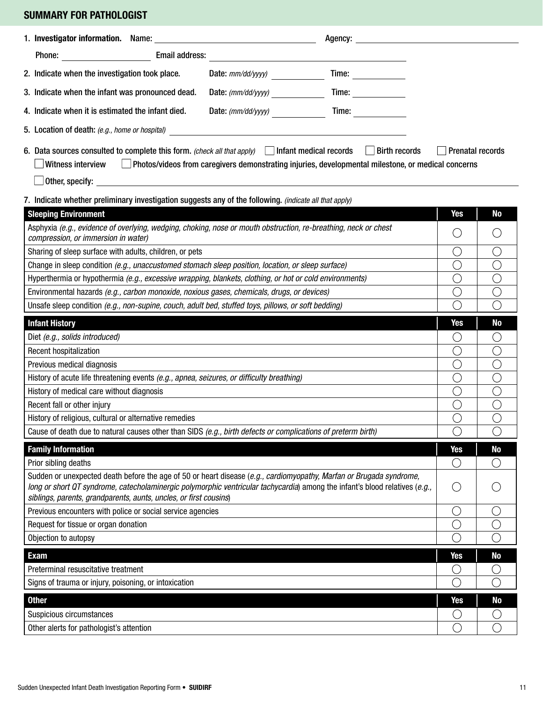# SUMMARY FOR PATHOLOGIST

| Agency: <u>the contract of the contract of the contract of the contract of the contract of the contract of the contract of the contract of the contract of the contract of the contract of the contract of the contract of the c</u>                                                                                                                                                                                                                                                                                  |                       |                |  |  |  |  |
|-----------------------------------------------------------------------------------------------------------------------------------------------------------------------------------------------------------------------------------------------------------------------------------------------------------------------------------------------------------------------------------------------------------------------------------------------------------------------------------------------------------------------|-----------------------|----------------|--|--|--|--|
|                                                                                                                                                                                                                                                                                                                                                                                                                                                                                                                       |                       |                |  |  |  |  |
| 2. Indicate when the investigation took place.<br>Date: $mm/dd/yyyy$ )                                                                                                                                                                                                                                                                                                                                                                                                                                                |                       |                |  |  |  |  |
| Time:<br>3. Indicate when the infant was pronounced dead.                                                                                                                                                                                                                                                                                                                                                                                                                                                             |                       |                |  |  |  |  |
| 4. Indicate when it is estimated the infant died.<br>Time: and the state of the state of the state of the state of the state of the state of the state of the state<br>Date: $(mm/dd/yyyy)$                                                                                                                                                                                                                                                                                                                           |                       |                |  |  |  |  |
|                                                                                                                                                                                                                                                                                                                                                                                                                                                                                                                       |                       |                |  |  |  |  |
| 6. Data sources consulted to complete this form. (check all that apply) $\Box$ Infant medical records $\Box$ Birth records<br><b>Prenatal records</b><br>Witness interview<br>Photos/videos from caregivers demonstrating injuries, developmental milestone, or medical concerns<br>$\Box$ Other, specify: $\Box$ . The contract of the contract of the contract of the contract of the contract of the contract of the contract of the contract of the contract of the contract of the contract of the contract of t |                       |                |  |  |  |  |
| 7. Indicate whether preliminary investigation suggests any of the following. (indicate all that apply)                                                                                                                                                                                                                                                                                                                                                                                                                |                       |                |  |  |  |  |
| <b>Sleeping Environment</b>                                                                                                                                                                                                                                                                                                                                                                                                                                                                                           | <b>Yes</b>            | <b>No</b>      |  |  |  |  |
| Asphyxia (e.g., evidence of overlying, wedging, choking, nose or mouth obstruction, re-breathing, neck or chest<br>compression, or immersion in water)                                                                                                                                                                                                                                                                                                                                                                | $\left(\right)$       | $( \ )$        |  |  |  |  |
| Sharing of sleep surface with adults, children, or pets                                                                                                                                                                                                                                                                                                                                                                                                                                                               | $\bigcirc$            | ()             |  |  |  |  |
| Change in sleep condition (e.g., unaccustomed stomach sleep position, location, or sleep surface)                                                                                                                                                                                                                                                                                                                                                                                                                     | O                     | ()             |  |  |  |  |
| Hyperthermia or hypothermia (e.g., excessive wrapping, blankets, clothing, or hot or cold environments)                                                                                                                                                                                                                                                                                                                                                                                                               | ◯                     | ()             |  |  |  |  |
| Environmental hazards (e.g., carbon monoxide, noxious gases, chemicals, drugs, or devices)                                                                                                                                                                                                                                                                                                                                                                                                                            | O                     | $(\ )$         |  |  |  |  |
| Unsafe sleep condition (e.g., non-supine, couch, adult bed, stuffed toys, pillows, or soft bedding)                                                                                                                                                                                                                                                                                                                                                                                                                   | ◯                     | $(\ )$         |  |  |  |  |
| <b>Infant History</b>                                                                                                                                                                                                                                                                                                                                                                                                                                                                                                 | <b>Yes</b>            | <b>No</b>      |  |  |  |  |
| Diet (e.g., solids introduced)                                                                                                                                                                                                                                                                                                                                                                                                                                                                                        | O                     | O              |  |  |  |  |
| Recent hospitalization                                                                                                                                                                                                                                                                                                                                                                                                                                                                                                | C                     | ()             |  |  |  |  |
| Previous medical diagnosis                                                                                                                                                                                                                                                                                                                                                                                                                                                                                            | ( )                   | ( )            |  |  |  |  |
| History of acute life threatening events (e.g., apnea, seizures, or difficulty breathing)                                                                                                                                                                                                                                                                                                                                                                                                                             | ( )                   | ( )            |  |  |  |  |
| History of medical care without diagnosis                                                                                                                                                                                                                                                                                                                                                                                                                                                                             | O                     | ( )            |  |  |  |  |
| Recent fall or other injury                                                                                                                                                                                                                                                                                                                                                                                                                                                                                           | О                     | ( )            |  |  |  |  |
| History of religious, cultural or alternative remedies                                                                                                                                                                                                                                                                                                                                                                                                                                                                | О                     | O              |  |  |  |  |
| Cause of death due to natural causes other than SIDS (e.g., birth defects or complications of preterm birth)                                                                                                                                                                                                                                                                                                                                                                                                          | $\overline{\bigcirc}$ |                |  |  |  |  |
| <b>Family Information</b>                                                                                                                                                                                                                                                                                                                                                                                                                                                                                             | <b>Yes</b>            | N <sub>0</sub> |  |  |  |  |
| Prior sibling deaths                                                                                                                                                                                                                                                                                                                                                                                                                                                                                                  | O                     |                |  |  |  |  |
| Sudden or unexpected death before the age of 50 or heart disease (e.g., cardiomyopathy, Marfan or Brugada syndrome,<br>long or short QT syndrome, catecholaminergic polymorphic ventricular tachycardia) among the infant's blood relatives (e.g.,<br>siblings, parents, grandparents, aunts, uncles, or first cousins)                                                                                                                                                                                               | O                     |                |  |  |  |  |
| Previous encounters with police or social service agencies                                                                                                                                                                                                                                                                                                                                                                                                                                                            | U                     |                |  |  |  |  |
| Request for tissue or organ donation                                                                                                                                                                                                                                                                                                                                                                                                                                                                                  |                       |                |  |  |  |  |
| Objection to autopsy                                                                                                                                                                                                                                                                                                                                                                                                                                                                                                  |                       |                |  |  |  |  |
| <b>Exam</b>                                                                                                                                                                                                                                                                                                                                                                                                                                                                                                           | <b>Yes</b>            | <b>No</b>      |  |  |  |  |
| Preterminal resuscitative treatment                                                                                                                                                                                                                                                                                                                                                                                                                                                                                   | U                     |                |  |  |  |  |
| Signs of trauma or injury, poisoning, or intoxication                                                                                                                                                                                                                                                                                                                                                                                                                                                                 |                       |                |  |  |  |  |
| <b>Other</b>                                                                                                                                                                                                                                                                                                                                                                                                                                                                                                          | <b>Yes</b>            | <b>No</b>      |  |  |  |  |
| Suspicious circumstances                                                                                                                                                                                                                                                                                                                                                                                                                                                                                              | C                     |                |  |  |  |  |
| Other alerts for pathologist's attention                                                                                                                                                                                                                                                                                                                                                                                                                                                                              | ⌒                     |                |  |  |  |  |